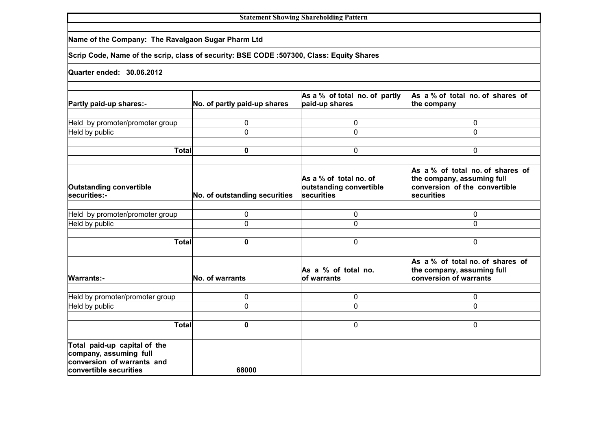| <b>Statement Showing Shareholding Pattern</b>                                                                  |                               |                                                                 |                                                                                                               |  |  |  |  |  |  |  |
|----------------------------------------------------------------------------------------------------------------|-------------------------------|-----------------------------------------------------------------|---------------------------------------------------------------------------------------------------------------|--|--|--|--|--|--|--|
| Name of the Company: The Ravalgaon Sugar Pharm Ltd                                                             |                               |                                                                 |                                                                                                               |  |  |  |  |  |  |  |
| Scrip Code, Name of the scrip, class of security: BSE CODE :507300, Class: Equity Shares                       |                               |                                                                 |                                                                                                               |  |  |  |  |  |  |  |
| Quarter ended: 30.06.2012                                                                                      |                               |                                                                 |                                                                                                               |  |  |  |  |  |  |  |
| Partly paid-up shares:-                                                                                        | No. of partly paid-up shares  | As a % of total no. of partly<br>paid-up shares                 | As a % of total no. of shares of<br>the company                                                               |  |  |  |  |  |  |  |
| Held by promoter/promoter group                                                                                | 0                             | 0                                                               | 0                                                                                                             |  |  |  |  |  |  |  |
| Held by public                                                                                                 | 0                             | $\Omega$                                                        | $\mathbf 0$                                                                                                   |  |  |  |  |  |  |  |
| <b>Total</b>                                                                                                   | 0                             | 0                                                               | 0                                                                                                             |  |  |  |  |  |  |  |
| <b>Outstanding convertible</b><br>securities:-                                                                 | No. of outstanding securities | As a % of total no. of<br>outstanding convertible<br>securities | As a % of total no. of shares of<br>the company, assuming full<br>conversion of the convertible<br>securities |  |  |  |  |  |  |  |
| Held by promoter/promoter group                                                                                | 0                             | 0                                                               | 0                                                                                                             |  |  |  |  |  |  |  |
| Held by public                                                                                                 | 0                             | 0                                                               | $\mathbf 0$                                                                                                   |  |  |  |  |  |  |  |
|                                                                                                                |                               |                                                                 |                                                                                                               |  |  |  |  |  |  |  |
| <b>Total</b>                                                                                                   | 0                             | 0                                                               | 0                                                                                                             |  |  |  |  |  |  |  |
| <b>Warrants:-</b>                                                                                              | No. of warrants               | As a % of total no.<br>of warrants                              | As a % of total no. of shares of<br>the company, assuming full<br>conversion of warrants                      |  |  |  |  |  |  |  |
| Held by promoter/promoter group                                                                                | 0                             | 0                                                               | 0                                                                                                             |  |  |  |  |  |  |  |
| Held by public                                                                                                 | 0                             | 0                                                               | $\mathbf 0$                                                                                                   |  |  |  |  |  |  |  |
|                                                                                                                |                               |                                                                 |                                                                                                               |  |  |  |  |  |  |  |
| <b>Total</b>                                                                                                   | 0                             | 0                                                               | $\mathbf{0}$                                                                                                  |  |  |  |  |  |  |  |
| Total paid-up capital of the<br>company, assuming full<br>conversion of warrants and<br>convertible securities | 68000                         |                                                                 |                                                                                                               |  |  |  |  |  |  |  |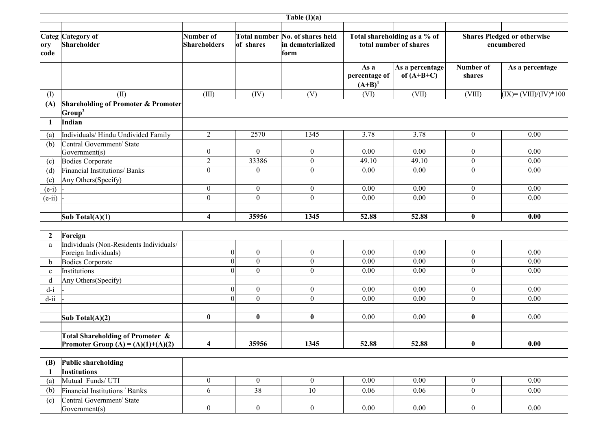|                  | Table $(I)(a)$                                                                |                                  |                                    |                                                              |                                                        |                                 |                                                  |                          |
|------------------|-------------------------------------------------------------------------------|----------------------------------|------------------------------------|--------------------------------------------------------------|--------------------------------------------------------|---------------------------------|--------------------------------------------------|--------------------------|
| ory<br>code      | Categ Category of<br>Shareholder                                              | Number of<br><b>Shareholders</b> | of shares                          | Total number No. of shares held<br>in dematerialized<br>form | Total shareholding as a % of<br>total number of shares |                                 | <b>Shares Pledged or otherwise</b><br>encumbered |                          |
|                  |                                                                               |                                  |                                    |                                                              | As a<br>percentage of<br>$(A+B)^1$                     | As a percentage<br>of $(A+B+C)$ | Number of<br>shares                              | As a percentage          |
| (I)              | (II)                                                                          | (III)                            | (IV)                               | (V)                                                          | (VI)                                                   | (VII)                           | (VIII)                                           | $(IX) = (VIII)/(IV)*100$ |
| (A)              | <b>Shareholding of Promoter &amp; Promoter</b><br>$ Group^2 $                 |                                  |                                    |                                                              |                                                        |                                 |                                                  |                          |
| 1                | Indian                                                                        |                                  |                                    |                                                              |                                                        |                                 |                                                  |                          |
| (a)              | Individuals/Hindu Undivided Family                                            | $\overline{2}$                   | 2570                               | 1345                                                         | 3.78                                                   | 3.78                            | $\boldsymbol{0}$                                 | 0.00                     |
| (b)              | Central Government/ State<br>Government(s)                                    | $\boldsymbol{0}$                 | $\overline{0}$                     | $\boldsymbol{0}$                                             | 0.00                                                   | 0.00                            | $\boldsymbol{0}$                                 | 0.00                     |
| (c)              | Bodies Corporate                                                              | $\mathfrak{2}$                   | 33386                              | $\boldsymbol{0}$                                             | 49.10                                                  | 49.10                           | $\boldsymbol{0}$                                 | 0.00                     |
| (d)              | Financial Institutions/Banks                                                  | $\boldsymbol{0}$                 | $\overline{0}$                     | $\boldsymbol{0}$                                             | 0.00                                                   | 0.00                            | $\boldsymbol{0}$                                 | 0.00                     |
| (e)              | Any Others(Specify)                                                           |                                  |                                    |                                                              |                                                        |                                 |                                                  |                          |
| $(e-i)$          |                                                                               | $\boldsymbol{0}$                 | $\overline{0}$                     | $\boldsymbol{0}$                                             | 0.00                                                   | 0.00                            | $\boldsymbol{0}$                                 | 0.00                     |
| $(e-ii)$         |                                                                               | $\mathbf{0}$                     | $\Omega$                           | $\boldsymbol{0}$                                             | 0.00                                                   | 0.00                            | $\boldsymbol{0}$                                 | 0.00                     |
|                  | Sub Total(A)(1)                                                               | $\overline{\mathbf{4}}$          | 35956                              | 1345                                                         | 52.88                                                  | 52.88                           | $\bf{0}$                                         | 0.00                     |
|                  |                                                                               |                                  |                                    |                                                              |                                                        |                                 |                                                  |                          |
| $\boldsymbol{2}$ | Foreign                                                                       |                                  |                                    |                                                              |                                                        |                                 |                                                  |                          |
| a                | Individuals (Non-Residents Individuals/<br>Foreign Individuals)               | $\overline{0}$                   | $\mathbf{0}$                       | $\boldsymbol{0}$                                             | 0.00                                                   | 0.00                            | $\boldsymbol{0}$                                 | 0.00                     |
| b                | Bodies Corporate                                                              | $\Omega$                         | $\mathbf{0}$                       | $\boldsymbol{0}$                                             | 0.00                                                   | 0.00                            | $\boldsymbol{0}$                                 | 0.00                     |
| $\mathbf c$      | Institutions                                                                  | $\Omega$                         | $\overline{0}$                     | $\boldsymbol{0}$                                             | 0.00                                                   | 0.00                            | $\boldsymbol{0}$                                 | 0.00                     |
| d                | Any Others (Specify)                                                          |                                  |                                    |                                                              |                                                        |                                 |                                                  |                          |
| $d-i$            |                                                                               | $\Omega$<br>$\theta$             | $\overline{0}$<br>$\boldsymbol{0}$ | $\boldsymbol{0}$<br>$\boldsymbol{0}$                         | 0.00                                                   | 0.00                            | $\boldsymbol{0}$<br>$\overline{0}$               | 0.00<br>0.00             |
| $d$ -ii          |                                                                               |                                  |                                    |                                                              | 0.00                                                   | 0.00                            |                                                  |                          |
|                  | Sub Total(A)(2)                                                               | $\bf{0}$                         | $\bf{0}$                           | $\bf{0}$                                                     | 0.00                                                   | 0.00                            | $\bf{0}$                                         | 0.00                     |
|                  |                                                                               |                                  |                                    |                                                              |                                                        |                                 |                                                  |                          |
|                  | Total Shareholding of Promoter &<br><b>Promoter Group (A) = (A)(1)+(A)(2)</b> | $\overline{\mathbf{4}}$          | 35956                              | 1345                                                         | 52.88                                                  | 52.88                           | $\pmb{0}$                                        | 0.00                     |
| (B)              | Public shareholding                                                           |                                  |                                    |                                                              |                                                        |                                 |                                                  |                          |
| -1               | Institutions                                                                  |                                  |                                    |                                                              |                                                        |                                 |                                                  |                          |
| (a)              | Mutual Funds/ UTI                                                             | $\boldsymbol{0}$                 | $\overline{0}$                     | $\mathbf{0}$                                                 | 0.00                                                   | 0.00                            | $\boldsymbol{0}$                                 | $\overline{0.00}$        |
| (b)              | Financial Institutions <sup>/</sup> Banks                                     | 6                                | 38                                 | 10                                                           | 0.06                                                   | 0.06                            | $\boldsymbol{0}$                                 | 0.00                     |
| (c)              | Central Government/ State<br>Government(s)                                    | $\boldsymbol{0}$                 | $\boldsymbol{0}$                   | $\boldsymbol{0}$                                             | 0.00                                                   | 0.00                            | $\boldsymbol{0}$                                 | 0.00                     |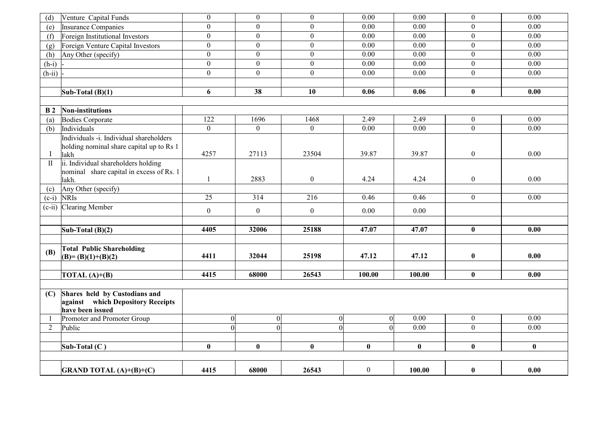| (d)          | Venture Capital Funds                    | $\mathbf{0}$     | $\overline{0}$ | $\mathbf{0}$     | 0.00             | 0.00     | $\mathbf{0}$                 | $0.00\,$ |
|--------------|------------------------------------------|------------------|----------------|------------------|------------------|----------|------------------------------|----------|
| (e)          | Insurance Companies                      | $\overline{0}$   | $\Omega$       | $\boldsymbol{0}$ | 0.00             | 0.00     | $\overline{0}$               | 0.00     |
| (f)          | Foreign Institutional Investors          | $\boldsymbol{0}$ | $\overline{0}$ | $\boldsymbol{0}$ | 0.00             | 0.00     | $\overline{0}$               | 0.00     |
| (g)          | Foreign Venture Capital Investors        | $\overline{0}$   | $\overline{0}$ | $\boldsymbol{0}$ | 0.00             | 0.00     | $\overline{0}$               | 0.00     |
| (h)          | Any Other (specify)                      | $\boldsymbol{0}$ | $\overline{0}$ | $\boldsymbol{0}$ | 0.00             | 0.00     | $\overline{0}$               | 0.00     |
| $(h-i)$      |                                          | $\boldsymbol{0}$ | $\overline{0}$ | $\mathbf{0}$     | 0.00             | 0.00     | $\overline{0}$               | 0.00     |
| $(h-ii)$     |                                          | $\overline{0}$   | $\overline{0}$ | $\boldsymbol{0}$ | 0.00             | 0.00     | $\boldsymbol{0}$             | 0.00     |
|              |                                          |                  |                |                  |                  |          |                              |          |
|              | Sub-Total $(B)(1)$                       | 6                | 38             | 10               | 0.06             | 0.06     | $\bf{0}$                     | 0.00     |
|              |                                          |                  |                |                  |                  |          |                              |          |
| <b>B</b> 2   | Non-institutions                         |                  |                |                  |                  |          |                              |          |
| (a)          | Bodies Corporate                         | 122              | 1696           | 1468             | 2.49             | 2.49     | $\boldsymbol{0}$             | 0.00     |
| (b)          | Individuals                              | $\overline{0}$   | $\overline{0}$ | $\mathbf{0}$     | 0.00             | 0.00     | $\overline{0}$               | 0.00     |
|              | Individuals -i. Individual shareholders  |                  |                |                  |                  |          |                              |          |
|              | holding nominal share capital up to Rs 1 |                  |                |                  |                  |          |                              |          |
| Ι            | lakh                                     | 4257             | 27113          | 23504            | 39.87            | 39.87    | $\boldsymbol{0}$             | 0.00     |
| $\mathbf{I}$ | ii. Individual shareholders holding      |                  |                |                  |                  |          |                              |          |
|              | nominal share capital in excess of Rs. 1 | 1                | 2883           | $\boldsymbol{0}$ | 4.24             | 4.24     |                              | 0.00     |
|              | lakh.                                    |                  |                |                  |                  |          | $\boldsymbol{0}$             |          |
| (c)          | Any Other (specify)                      | $\overline{25}$  |                |                  | 0.46             | 0.46     |                              | 0.00     |
|              | $(c-i)$ NRIs                             |                  | 314            | 216              |                  |          | $\overline{0}$               |          |
|              | (c-ii) Clearing Member                   | $\boldsymbol{0}$ | $\overline{0}$ | $\mathbf{0}$     | 0.00             | 0.00     |                              |          |
|              |                                          |                  |                |                  |                  |          |                              |          |
|              | Sub-Total $(B)(2)$                       | 4405             | 32006          | 25188            | 47.07            | 47.07    | $\bf{0}$                     | 0.00     |
|              |                                          |                  |                |                  |                  |          |                              |          |
| (B)          | <b>Total Public Shareholding</b>         |                  |                |                  |                  |          |                              |          |
|              | $(B)=(B)(1)+(B)(2)$                      | 4411             | 32044          | 25198            | 47.12            | 47.12    | $\bf{0}$                     | 0.00     |
|              |                                          |                  |                |                  |                  |          |                              |          |
|              | TOTAL $(A)+(B)$                          | 4415             | 68000          | 26543            | 100.00           | 100.00   | $\bf{0}$                     | 0.00     |
|              |                                          |                  |                |                  |                  |          |                              |          |
| (C)          | Shares held by Custodians and            |                  |                |                  |                  |          |                              |          |
|              | against which Depository Receipts        |                  |                |                  |                  |          |                              |          |
|              | have been issued                         |                  |                |                  |                  | 0.00     |                              | 0.00     |
| -1<br>2      | Promoter and Promoter Group              | 0 <br>$\Omega$   | 0 <br>$\Omega$ | 0                | 0 <br>$\Omega$   | 0.00     | $\boldsymbol{0}$<br>$\Omega$ | 0.00     |
|              | Public                                   |                  |                | $\overline{0}$   |                  |          |                              |          |
|              |                                          |                  |                |                  |                  |          |                              |          |
|              | Sub-Total $(C)$                          | $\bf{0}$         | $\bf{0}$       | $\bf{0}$         | $\bf{0}$         | $\bf{0}$ | $\bf{0}$                     | $\bf{0}$ |
|              |                                          |                  |                |                  |                  |          |                              |          |
|              | <b>GRAND TOTAL (A)+(B)+(C)</b>           | 4415             | 68000          | 26543            | $\boldsymbol{0}$ | 100.00   | $\bf{0}$                     | 0.00     |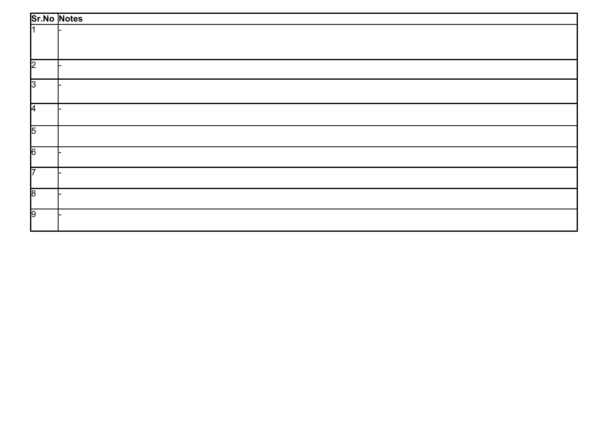|                | <b>Sr.No Notes</b> |
|----------------|--------------------|
|                |                    |
|                |                    |
| 2              |                    |
| $\sqrt{3}$     |                    |
| 4              |                    |
| $\overline{5}$ |                    |
| $\sqrt{6}$     |                    |
| 17             |                    |
| $\sqrt{8}$     |                    |
| 9              |                    |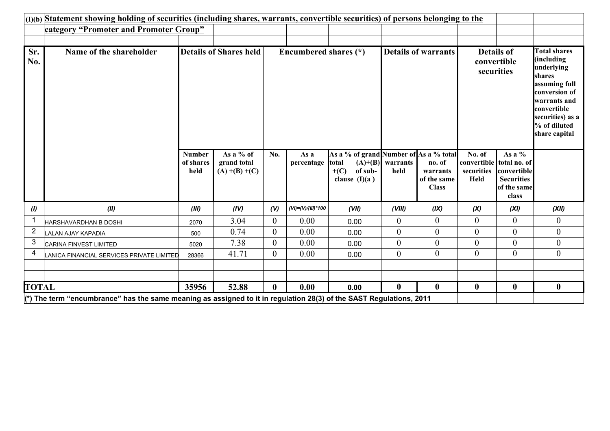| (I)(b) Statement showing holding of securities (including shares, warrants, convertible securities) of persons belonging to the |                                                                                                                                |                                    |                                               |                  |                          |                                                                                                |                            |                                                   |                                                    |                                                                                      |                                                                                                                                                                                 |
|---------------------------------------------------------------------------------------------------------------------------------|--------------------------------------------------------------------------------------------------------------------------------|------------------------------------|-----------------------------------------------|------------------|--------------------------|------------------------------------------------------------------------------------------------|----------------------------|---------------------------------------------------|----------------------------------------------------|--------------------------------------------------------------------------------------|---------------------------------------------------------------------------------------------------------------------------------------------------------------------------------|
|                                                                                                                                 | category "Promoter and Promoter Group"                                                                                         |                                    |                                               |                  |                          |                                                                                                |                            |                                                   |                                                    |                                                                                      |                                                                                                                                                                                 |
|                                                                                                                                 |                                                                                                                                |                                    |                                               |                  |                          |                                                                                                |                            |                                                   |                                                    |                                                                                      |                                                                                                                                                                                 |
| Sr.<br>No.                                                                                                                      | Name of the shareholder                                                                                                        |                                    | <b>Details of Shares held</b>                 |                  | Encumbered shares (*)    |                                                                                                |                            | <b>Details of warrants</b>                        |                                                    | <b>Details of</b><br>convertible<br>securities                                       | <b>Total shares</b><br>(including<br>underlying<br>shares<br>assuming full<br>conversion of<br>warrants and<br>convertible<br>securities) as a<br>% of diluted<br>share capital |
|                                                                                                                                 |                                                                                                                                | <b>Number</b><br>of shares<br>held | As a % of<br>grand total<br>$(A) + (B) + (C)$ | No.              | As a<br>percentage       | As a % of grand Number of As a % total<br><b>total</b><br>$+(C)$<br>of sub-<br>clause $(I)(a)$ | $(A)+(B)$ warrants<br>held | no. of<br>warrants<br>of the same<br><b>Class</b> | No. of<br>convertible<br>securities<br><b>Held</b> | As a $%$<br>total no. of<br>convertible<br><b>Securities</b><br>of the same<br>class |                                                                                                                                                                                 |
| (1)                                                                                                                             | (II)                                                                                                                           | (III)                              | (IV)                                          | (V)              | $(VI) = (V)/(III) * 100$ | (VII)                                                                                          | (VIII)                     | (IX)                                              | (X)                                                | (XI)                                                                                 | (XII)                                                                                                                                                                           |
|                                                                                                                                 | HARSHAVARDHAN B DOSHI                                                                                                          | 2070                               | 3.04                                          | $\overline{0}$   | 0.00                     | 0.00                                                                                           | $\boldsymbol{0}$           | $\overline{0}$                                    | $\overline{0}$                                     | $\boldsymbol{0}$                                                                     | $\overline{0}$                                                                                                                                                                  |
| $\overline{\mathbf{c}}$                                                                                                         | LALAN AJAY KAPADIA                                                                                                             | 500                                | 0.74                                          | $\boldsymbol{0}$ | 0.00                     | 0.00                                                                                           | $\boldsymbol{0}$           | $\overline{0}$                                    | $\overline{0}$                                     | $\boldsymbol{0}$                                                                     | $\boldsymbol{0}$                                                                                                                                                                |
| 3                                                                                                                               | CARINA FINVEST LIMITED                                                                                                         | 5020                               | 7.38                                          | $\boldsymbol{0}$ | 0.00                     | 0.00                                                                                           | $\boldsymbol{0}$           | $\boldsymbol{0}$                                  | $\boldsymbol{0}$                                   | $\boldsymbol{0}$                                                                     | $\boldsymbol{0}$                                                                                                                                                                |
| 4                                                                                                                               | LANICA FINANCIAL SERVICES PRIVATE LIMITED                                                                                      | 28366                              | 41.71                                         | $\overline{0}$   | 0.00                     | 0.00                                                                                           | $\boldsymbol{0}$           | $\overline{0}$                                    | $\mathbf{0}$                                       | $\overline{0}$                                                                       | $\boldsymbol{0}$                                                                                                                                                                |
|                                                                                                                                 |                                                                                                                                |                                    |                                               |                  |                          |                                                                                                |                            |                                                   |                                                    |                                                                                      |                                                                                                                                                                                 |
| <b>TOTAL</b>                                                                                                                    |                                                                                                                                | 35956                              | 52.88                                         | $\bf{0}$         | 0.00                     | 0.00                                                                                           | $\bf{0}$                   | $\bf{0}$                                          | $\bf{0}$                                           | $\bf{0}$                                                                             | $\boldsymbol{0}$                                                                                                                                                                |
|                                                                                                                                 | $\ket{\kappa}$ The term "encumbrance" has the same meaning as assigned to it in regulation 28(3) of the SAST Regulations, 2011 |                                    |                                               |                  |                          |                                                                                                |                            |                                                   |                                                    |                                                                                      |                                                                                                                                                                                 |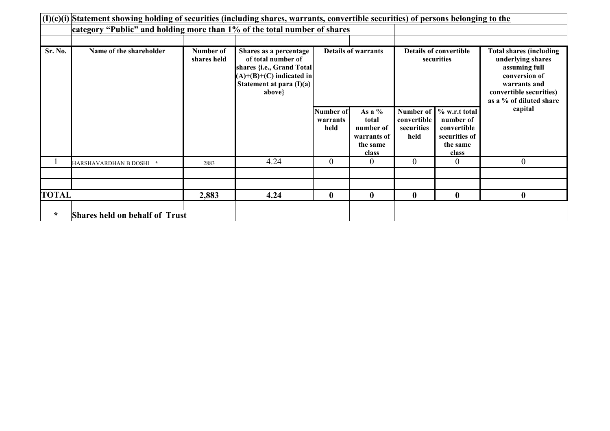|              | $(I)(c)(i)$ Statement showing holding of securities (including shares, warrants, convertible securities) of persons belonging to the |                          |                                                                                                                                                  |                               |                                                                    |                                                |                                                                                 |                                                                                                                                                             |  |
|--------------|--------------------------------------------------------------------------------------------------------------------------------------|--------------------------|--------------------------------------------------------------------------------------------------------------------------------------------------|-------------------------------|--------------------------------------------------------------------|------------------------------------------------|---------------------------------------------------------------------------------|-------------------------------------------------------------------------------------------------------------------------------------------------------------|--|
|              | category "Public" and holding more than 1% of the total number of shares                                                             |                          |                                                                                                                                                  |                               |                                                                    |                                                |                                                                                 |                                                                                                                                                             |  |
|              |                                                                                                                                      |                          |                                                                                                                                                  |                               |                                                                    |                                                |                                                                                 |                                                                                                                                                             |  |
| Sr. No.      | Name of the shareholder                                                                                                              | Number of<br>shares held | Shares as a percentage<br>of total number of<br>shares {i.e., Grand Total]<br>$(A)+(B)+(C)$ indicated in<br>Statement at para $(I)(a)$<br>above} |                               | <b>Details of warrants</b>                                         |                                                | <b>Details of convertible</b><br>securities                                     | <b>Total shares (including</b><br>underlying shares<br>assuming full<br>conversion of<br>warrants and<br>convertible securities)<br>as a % of diluted share |  |
|              |                                                                                                                                      |                          |                                                                                                                                                  | Number of<br>warrants<br>held | As a $%$<br>total<br>number of<br>warrants of<br>the same<br>class | Number of<br>convertible<br>securities<br>held | % w.r.t total<br>number of<br>convertible<br>securities of<br>the same<br>class | capital                                                                                                                                                     |  |
|              | HARSHAVARDHAN B DOSHI *                                                                                                              | 2883                     | 4.24                                                                                                                                             | $\overline{0}$                | 0                                                                  | $\theta$                                       | $\boldsymbol{0}$                                                                | $\boldsymbol{0}$                                                                                                                                            |  |
|              |                                                                                                                                      |                          |                                                                                                                                                  |                               |                                                                    |                                                |                                                                                 |                                                                                                                                                             |  |
|              |                                                                                                                                      |                          |                                                                                                                                                  |                               |                                                                    |                                                |                                                                                 |                                                                                                                                                             |  |
| <b>TOTAL</b> |                                                                                                                                      | 2,883                    | 4.24                                                                                                                                             | $\bf{0}$                      | $\bf{0}$                                                           | $\bf{0}$                                       | $\bf{0}$                                                                        | $\boldsymbol{0}$                                                                                                                                            |  |
|              |                                                                                                                                      |                          |                                                                                                                                                  |                               |                                                                    |                                                |                                                                                 |                                                                                                                                                             |  |
| $\star$      | <b>Shares held on behalf of Trust</b>                                                                                                |                          |                                                                                                                                                  |                               |                                                                    |                                                |                                                                                 |                                                                                                                                                             |  |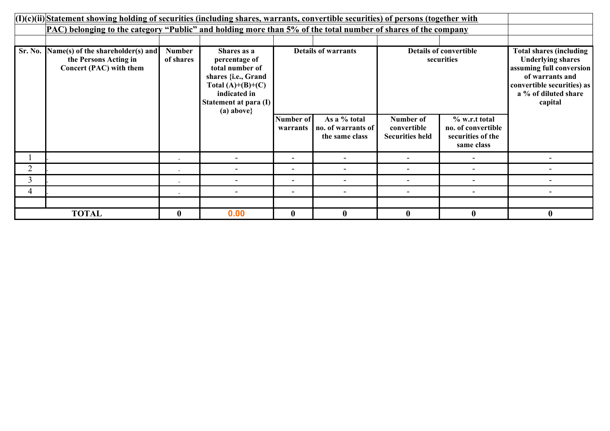|         | $(1)(c)(ii)$ Statement showing holding of securities (including shares, warrants, convertible securities) of persons (together with |                            |                                                                                                                                                       |                            |                                                      |                                                    |                                                                        |                                                                                                                                                                            |  |  |
|---------|-------------------------------------------------------------------------------------------------------------------------------------|----------------------------|-------------------------------------------------------------------------------------------------------------------------------------------------------|----------------------------|------------------------------------------------------|----------------------------------------------------|------------------------------------------------------------------------|----------------------------------------------------------------------------------------------------------------------------------------------------------------------------|--|--|
|         | PAC) belonging to the category "Public" and holding more than 5% of the total number of shares of the company                       |                            |                                                                                                                                                       |                            |                                                      |                                                    |                                                                        |                                                                                                                                                                            |  |  |
|         |                                                                                                                                     |                            |                                                                                                                                                       |                            |                                                      |                                                    |                                                                        |                                                                                                                                                                            |  |  |
| Sr. No. | Name(s) of the shareholder(s) and<br>the Persons Acting in<br>Concert (PAC) with them                                               | <b>Number</b><br>of shares | Shares as a<br>percentage of<br>total number of<br>shares {i.e., Grand<br>Total $(A)+(B)+(C)$<br>indicated in<br>Statement at para $(I)$<br>(a) above | <b>Details of warrants</b> |                                                      | <b>Details of convertible</b><br>securities        |                                                                        | <b>Total shares (including</b><br><b>Underlying shares</b><br>assuming full conversion<br>of warrants and<br>convertible securities) as<br>a % of diluted share<br>capital |  |  |
|         |                                                                                                                                     |                            |                                                                                                                                                       | Number of<br>warrants      | As a % total<br>no. of warrants of<br>the same class | Number of<br>convertible<br><b>Securities held</b> | % w.r.t total<br>no. of convertible<br>securities of the<br>same class |                                                                                                                                                                            |  |  |
|         |                                                                                                                                     |                            |                                                                                                                                                       |                            | $\overline{\phantom{0}}$                             |                                                    |                                                                        |                                                                                                                                                                            |  |  |
| 2       |                                                                                                                                     |                            |                                                                                                                                                       |                            | $\overline{\phantom{0}}$                             |                                                    |                                                                        |                                                                                                                                                                            |  |  |
| 3       |                                                                                                                                     |                            | $\blacksquare$                                                                                                                                        | $\overline{\phantom{0}}$   | ۰                                                    |                                                    |                                                                        |                                                                                                                                                                            |  |  |
| 4       |                                                                                                                                     |                            | $\blacksquare$                                                                                                                                        | $\overline{\phantom{0}}$   | $\overline{\phantom{0}}$                             |                                                    | $\overline{\phantom{0}}$                                               |                                                                                                                                                                            |  |  |
|         |                                                                                                                                     |                            |                                                                                                                                                       |                            |                                                      |                                                    |                                                                        |                                                                                                                                                                            |  |  |
|         | <b>TOTAL</b>                                                                                                                        | $\bf{0}$                   | 0.00                                                                                                                                                  | $\mathbf{0}$               | $\mathbf{0}$                                         | $\mathbf{0}$                                       | $\bf{0}$                                                               | $\mathbf{0}$                                                                                                                                                               |  |  |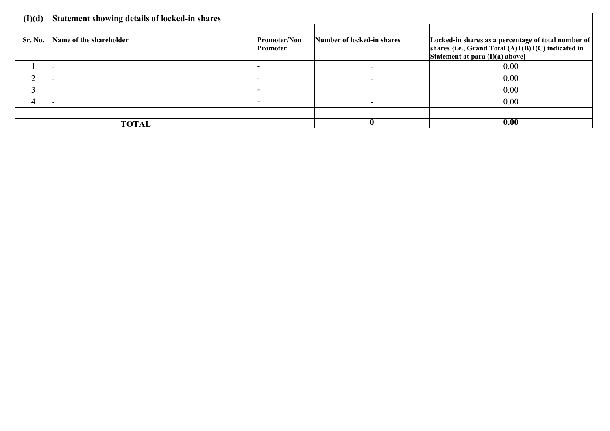| (I)(d)  | <b>Statement showing details of locked-in shares</b> |                     |                            |                                                      |
|---------|------------------------------------------------------|---------------------|----------------------------|------------------------------------------------------|
|         |                                                      |                     |                            |                                                      |
| Sr. No. | Name of the shareholder                              | <b>Promoter/Non</b> | Number of locked-in shares | Locked-in shares as a percentage of total number of  |
|         |                                                      | Promoter            |                            | shares {i.e., Grand Total $(A)+(B)+(C)$ indicated in |
|         |                                                      |                     |                            | Statement at para $(I)(a)$ above}                    |
|         |                                                      |                     |                            | 0.00                                                 |
|         |                                                      |                     |                            | 0.00                                                 |
|         |                                                      |                     | $\overline{\phantom{a}}$   | 0.00                                                 |
| 4       |                                                      |                     | $\overline{\phantom{0}}$   | 0.00                                                 |
|         |                                                      |                     |                            |                                                      |
|         | <b>TOTAL</b>                                         |                     | "                          | 0.00                                                 |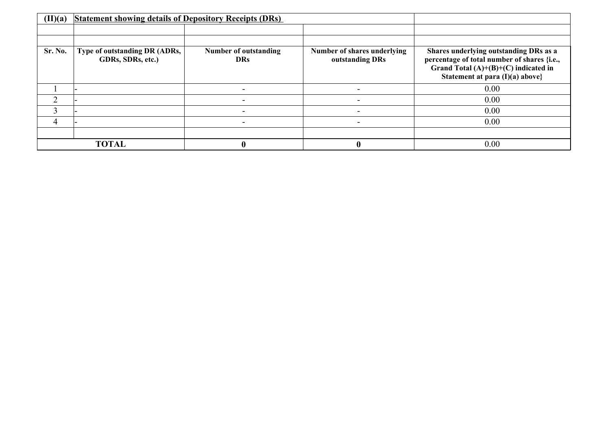| (II)(a) | <b>Statement showing details of Depository Receipts (DRs)</b> |                                            |                                                |                                                                                                                                                                    |
|---------|---------------------------------------------------------------|--------------------------------------------|------------------------------------------------|--------------------------------------------------------------------------------------------------------------------------------------------------------------------|
|         |                                                               |                                            |                                                |                                                                                                                                                                    |
|         |                                                               |                                            |                                                |                                                                                                                                                                    |
| Sr. No. | Type of outstanding DR (ADRs,<br>GDRs, SDRs, etc.)            | <b>Number of outstanding</b><br><b>DRs</b> | Number of shares underlying<br>outstanding DRs | Shares underlying outstanding DRs as a<br>percentage of total number of shares {i.e.,<br>Grand Total $(A)+(B)+(C)$ indicated in<br>Statement at para (I)(a) above} |
|         |                                                               |                                            |                                                | 0.00                                                                                                                                                               |
| ↑       |                                                               |                                            |                                                | 0.00                                                                                                                                                               |
|         |                                                               |                                            |                                                | 0.00                                                                                                                                                               |
| 4       |                                                               |                                            |                                                | 0.00                                                                                                                                                               |
|         |                                                               |                                            |                                                |                                                                                                                                                                    |
|         | <b>TOTAL</b>                                                  |                                            |                                                | 0.00                                                                                                                                                               |